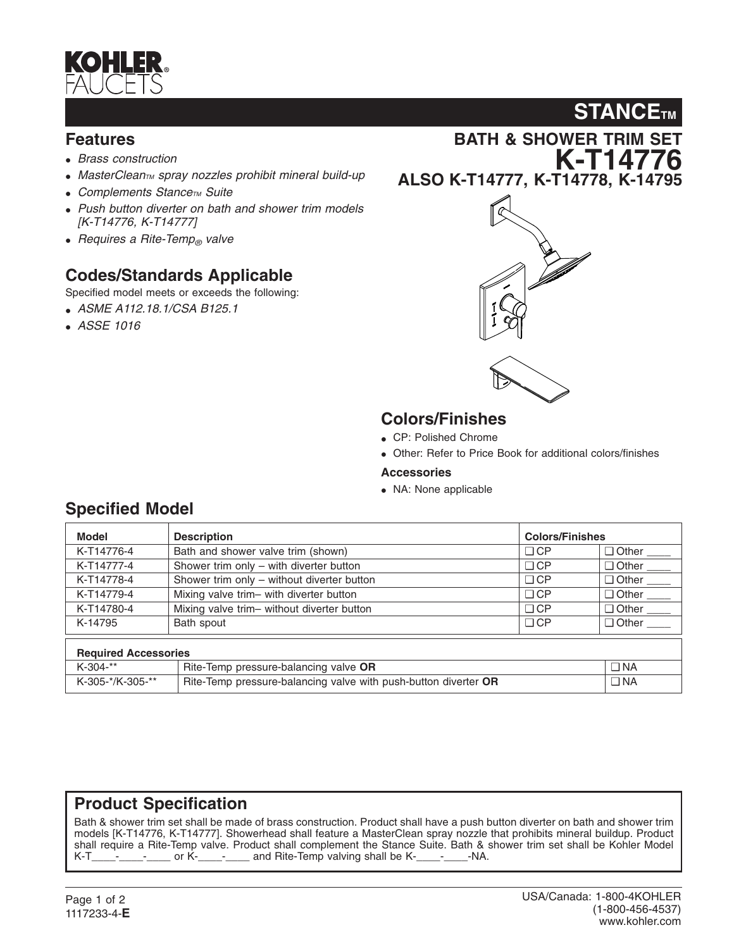

#### **Features**

- *Brass construction*
- MasterClean<sub>TM</sub> spray nozzles prohibit mineral build-up
- **Complements Stance<sub>TM</sub>** Suite
- *Push button diverter on bath and shower trim models [K-T14776, K-T14777]*
- *Requires a Rite-Temp*<sup>®</sup> *valve*

### **Codes/Standards Applicable**

Specified model meets or exceeds the following:

- *ASME A112.18.1/CSA B125.1*
- *ASSE 1016*





#### **Colors/Finishes**

- CP: Polished Chrome
- Other: Refer to Price Book for additional colors/finishes
- **Accessories**
- NA: None applicable

| <b>Model</b>                | <b>Description</b>                                              | <b>Colors/Finishes</b> |                          |  |  |
|-----------------------------|-----------------------------------------------------------------|------------------------|--------------------------|--|--|
| K-T14776-4                  | Bath and shower valve trim (shown)                              | $\Box$ CP              | □ Other                  |  |  |
| K-T14777-4                  | Shower trim only - with diverter button                         | $\Box$ CP              | $\Box$ Other             |  |  |
| K-T14778-4                  | Shower trim only - without diverter button                      | $\Box$ CP              | $\Box$ Other             |  |  |
| K-T14779-4                  | Mixing valve trim- with diverter button                         | $\Box$ CP              | $\Box$ Other $\_\_$      |  |  |
| K-T14780-4                  | Mixing valve trim- without diverter button                      | $\Box$ CP              | $\Box$ Other $\_\_\_\_\$ |  |  |
| K-14795                     | Bath spout                                                      | $\Box$ CP              | Other ____               |  |  |
| <b>Required Accessories</b> |                                                                 |                        |                          |  |  |
| $K-304-**$                  | Rite-Temp pressure-balancing valve OR                           |                        | $\Box$ NA                |  |  |
| K-305-*/K-305-**            | Rite-Temp pressure-balancing valve with push-button diverter OR |                        | $\Box$ NA                |  |  |

#### **Product Specification**

Bath & shower trim set shall be made of brass construction. Product shall have a push button diverter on bath and shower trim models [K-T14776, K-T14777]. Showerhead shall feature a MasterClean spray nozzle that prohibits mineral buildup. Product shall require a Rite-Temp valve. Product shall complement the Stance Suite. Bath & shower trim set shall be Kohler Model K-T\_\_\_\_-<sub>\_\_\_\_\_-</sub>\_\_\_\_\_ or K-\_\_\_\_-<sub>\_\_\_\_</sub>\_\_\_\_ and Rite-Temp valving shall be K-\_\_\_\_-<sub>\_\_\_\_</sub>\_\_\_-NA.

#### **Specified Model**

## **STANCE<sub>TM</sub>**

**BATH & SHOWER TRIM SET K-T14776 ALSO K-T14777, K-T14778, K-14795**